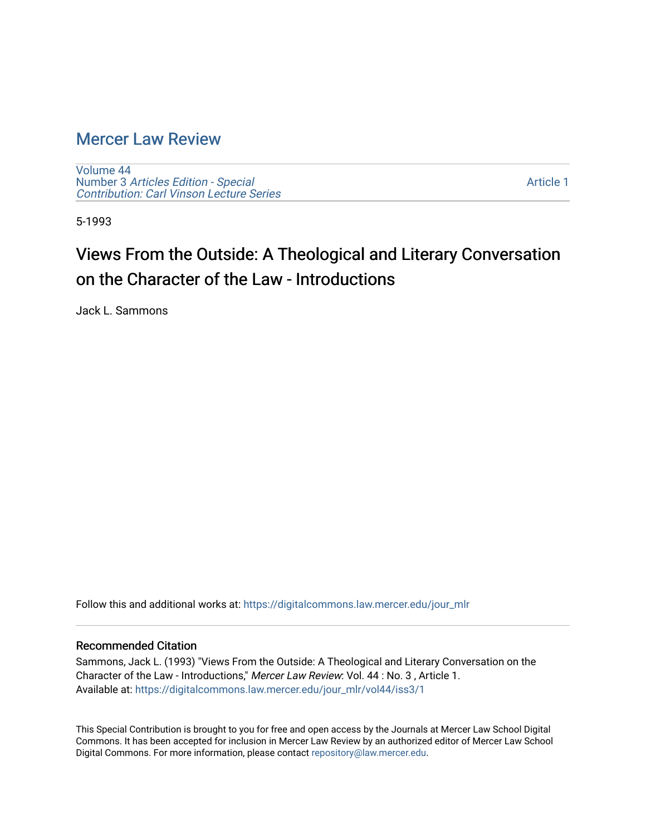#### [Mercer Law Review](https://digitalcommons.law.mercer.edu/jour_mlr)

[Volume 44](https://digitalcommons.law.mercer.edu/jour_mlr/vol44) Number 3 [Articles Edition - Special](https://digitalcommons.law.mercer.edu/jour_mlr/vol44/iss3)  [Contribution: Carl Vinson Lecture Series](https://digitalcommons.law.mercer.edu/jour_mlr/vol44/iss3) 

[Article 1](https://digitalcommons.law.mercer.edu/jour_mlr/vol44/iss3/1) 

5-1993

### Views From the Outside: A Theological and Literary Conversation on the Character of the Law - Introductions

Jack L. Sammons

Follow this and additional works at: [https://digitalcommons.law.mercer.edu/jour\\_mlr](https://digitalcommons.law.mercer.edu/jour_mlr?utm_source=digitalcommons.law.mercer.edu%2Fjour_mlr%2Fvol44%2Fiss3%2F1&utm_medium=PDF&utm_campaign=PDFCoverPages)

#### Recommended Citation

Sammons, Jack L. (1993) "Views From the Outside: A Theological and Literary Conversation on the Character of the Law - Introductions," Mercer Law Review: Vol. 44 : No. 3 , Article 1. Available at: [https://digitalcommons.law.mercer.edu/jour\\_mlr/vol44/iss3/1](https://digitalcommons.law.mercer.edu/jour_mlr/vol44/iss3/1?utm_source=digitalcommons.law.mercer.edu%2Fjour_mlr%2Fvol44%2Fiss3%2F1&utm_medium=PDF&utm_campaign=PDFCoverPages)

This Special Contribution is brought to you for free and open access by the Journals at Mercer Law School Digital Commons. It has been accepted for inclusion in Mercer Law Review by an authorized editor of Mercer Law School Digital Commons. For more information, please contact [repository@law.mercer.edu](mailto:repository@law.mercer.edu).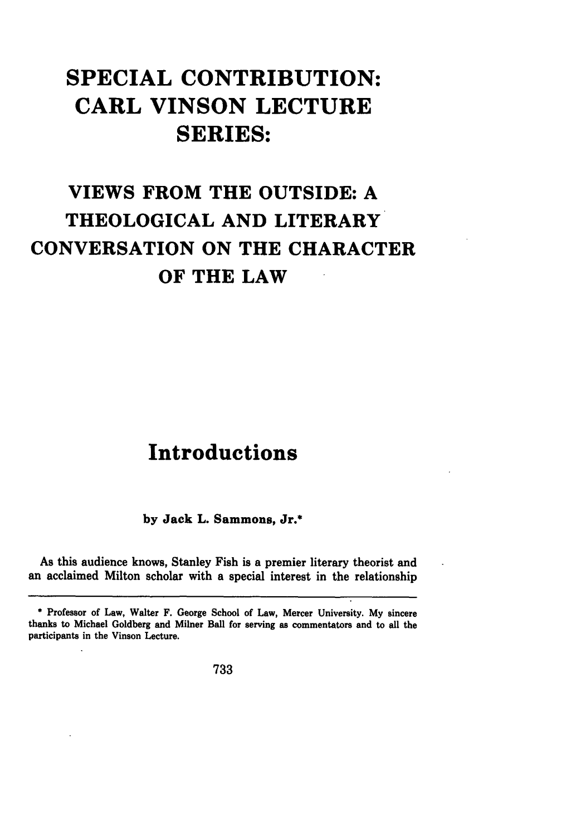# **SPECIAL CONTRIBUTION: CARL VINSON LECTURE SERIES:**

# VIEWS FROM THE **OUTSIDE: A** THEOLOGICAL **AND** LITERARY **CONVERSATION ON** THE CHARACTER OF THE LAW

#### **Introductions**

**by** Jack L. Sammons, Jr.\*

As this audience knows, Stanley Fish is a premier literary theorist and an acclaimed Milton scholar with a special interest in the relationship

**733**

Professor of Law, Walter F. George School of Law, Mercer University. **My** sincere thanks to Michael Goldberg and Milner Ball for serving as commentators and to all the participants in the Vinson Lecture.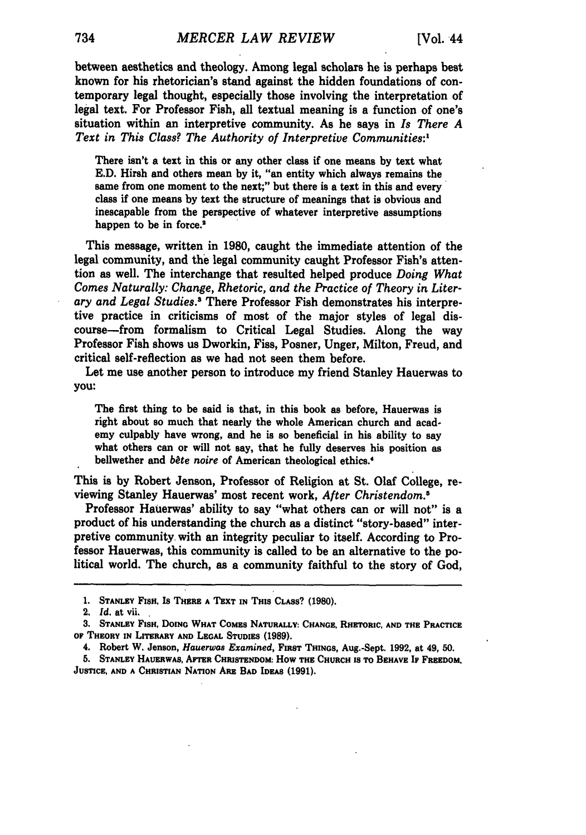between aesthetics and theology. Among legal scholars he is perhaps best known for his rhetorician's stand against the hidden foundations of contemporary legal thought, especially those involving the interpretation of legal text. For Professor Fish, all textual meaning is a function of one's situation within an interpretive community. As he says in *Is There A Text in This* Class? *The Authority of Interpretive Communities:,*

There isn't a text in this or any other class if one means **by** text what **E.D.** Hirsh and others mean **by** it, "an entity which always remains the same from one moment to the next;" but there is a text in this and every class if one means **by** text the structure of meanings that is obvious and inescapable from the perspective of whatever interpretive assumptions happen to be in force.<sup>2</sup>

This message, written in **1980,** caught the immediate attention of the legal community, and the legal community caught Professor Fish's attention as well. The interchange that resulted helped produce *Doing What Comes Naturally: Change, Rhetoric, and the Practice of Theory in Literary and Legal Studies.3* There Professor Fish demonstrates his interpretive practice in criticisms of most of the major styles of legal discourse-from formalism to Critical Legal Studies. Along the way Professor Fish shows us Dworkin, Fiss, Posner, Unger, Milton, Freud, and critical self-reflection as we had not seen them before.

Let me use another person to introduce my friend Stanley Hauerwas to **you:**

The first thing to be said is that, in this book as before, Hauerwas is right about so much that nearly the whole American church and academy culpably have wrong, and he is so beneficial in his ability to say what others can or will not say, that he fully deserves his position as bellwether and *bète noire* of American theological ethics.<sup>4</sup>

This is **by** Robert Jenson, Professor of Religion at St. Olaf College, reviewing Stanley Hauerwas' most recent work, *After Christendom.5*

Professor Hauerwas' ability to say "what others can or will not" is a product of his understanding the church as a distinct "story-based" interpretive community. with an integrity peculiar to itself. According to Professor Hauerwas, this community is called to be an alternative to the political world. The church, as a community faithful to the story of God,

**<sup>1.</sup> STANLEY** FISH, Is **THERE A TEXT IN THIS CLASS? (1980).**

<sup>2.</sup> **Id.** at vii.

**<sup>3.</sup> STANLEY FISH, DOING WHAT CoMEs NATURALLY: CHANGE. RHETORIC, AND THE PRACTICE or THEORY IN LrrERARY AND LEGAL STUDIES (1989).**

<sup>4.</sup> **Robert** W. **Jenson,** Hauerwas Examined, **FIRST** THINGS, **Aug.-Sept. 1992, at 49, 50.**

**<sup>5.</sup> STANLEY HAUERWAS, AFTER CHRISTENDOM: How THs CHURCH is TO BEHAVE** IF **FREEDOM, JUSTICE, AND A CHRISTIAN NATION ARE BAD IDEAS (1991).**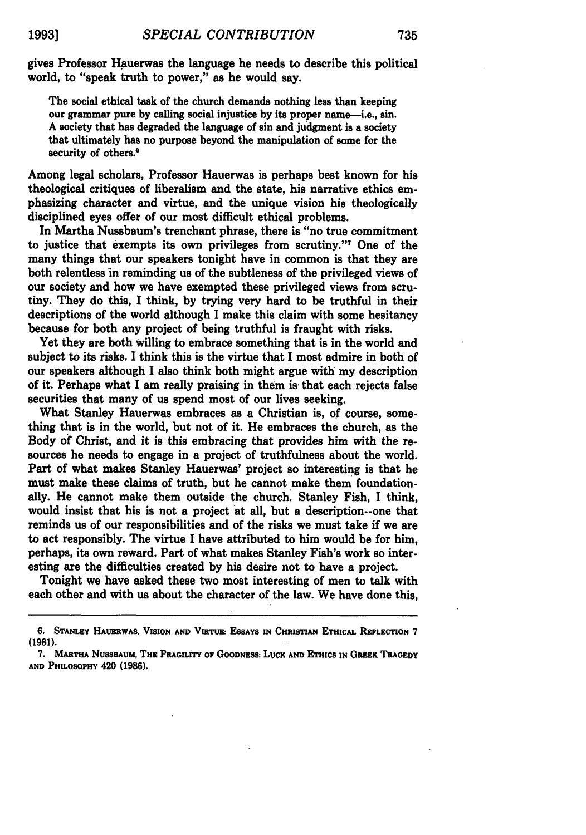gives Professor Hauerwas the language he needs to describe this political world, to "speak truth to power," as he would say.

The social ethical task of the church demands nothing less than keeping our grammar pure **by** calling social injustice **by** its proper name-i.e., sin. **A** society that has degraded the language of sin and judgment is a society that ultimately has no purpose beyond the manipulation of some for the security of others.<sup>6</sup>

Among legal scholars, Professor Hauerwas is perhaps best known for his theological critiques of liberalism and the state, his narrative ethics emphasizing character and virtue, and the unique vision his theologically disciplined eyes offer of our most difficult ethical problems.

In Martha Nussbaum's trenchant phrase, there is "no true commitment to justice that exempts its own privileges from scrutiny." One of the many things that our speakers tonight have in common is that they are both relentless in reminding us of the subtleness of the privileged views of our society and how we have exempted these privileged views from scrutiny. They do this, **I** think, **by** trying very hard to be truthful in their descriptions of the world although I make this claim with some hesitancy because for both any project of being truthful is fraught with risks.

Yet they are both willing to embrace something that is in the world and subject to its risks. I think this is the virtue that **I** most admire in both of our speakers although **I** also think both might argue with my description of it. Perhaps what **I** am really praising in them is- that each rejects false securities that many of us spend most of our lives seeking.

What Stanley Hauerwas embraces as a Christian is, of course, something that is in the world, but not of it. He embraces the church, as the Body of Christ, and it is this embracing that provides him with the resources he needs to engage in a project of truthfulness about the world. Part of what makes Stanley Hauerwas' project so interesting is that he must make these claims of truth, but he cannot make them foundationally. He cannot make them outside the church. Stanley Fish, **I** think, would insist that his is not a project at all, but a description--one that reminds us of our responsibilities and of the risks we must take if we are to act responsibly. The virtue I have attributed to him would be for him, perhaps, its own reward. Part of what makes Stanley Fish's work so interesting are the difficulties created **by** his desire not to have a project.

Tonight we have asked these two most interesting of men to talk with each other and with us about the character of the law. We have done this,

**<sup>6.</sup> STANLEY HAUERWAS, VISION AND VIRTUE: ESSAYS IN CHRISTiAN ETHICAL REFLECTION 7 (1981).**

**<sup>7.</sup> MARTHA NuSSsAUM, THE FRAGILiTY OF GOODNESS. LUCK AND ETHICS IN GREEK TRAGEDY AND PHILOSOPHY** 420 **(1986).**